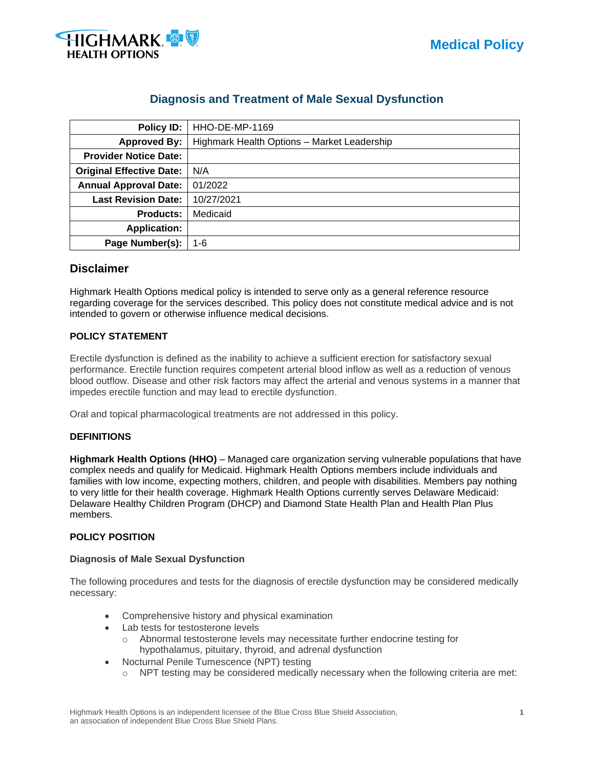

# **Diagnosis and Treatment of Male Sexual Dysfunction**

| Policy ID:                      | HHO-DE-MP-1169                              |  |  |
|---------------------------------|---------------------------------------------|--|--|
| <b>Approved By:</b>             | Highmark Health Options - Market Leadership |  |  |
| <b>Provider Notice Date:</b>    |                                             |  |  |
| <b>Original Effective Date:</b> | N/A                                         |  |  |
| <b>Annual Approval Date:</b>    | 01/2022                                     |  |  |
| <b>Last Revision Date:</b>      | 10/27/2021                                  |  |  |
| <b>Products:</b>                | Medicaid                                    |  |  |
| <b>Application:</b>             |                                             |  |  |
| Page Number(s):                 | 1-6                                         |  |  |

## **Disclaimer**

Highmark Health Options medical policy is intended to serve only as a general reference resource regarding coverage for the services described. This policy does not constitute medical advice and is not intended to govern or otherwise influence medical decisions.

## **POLICY STATEMENT**

Erectile dysfunction is defined as the inability to achieve a sufficient erection for satisfactory sexual performance. Erectile function requires competent arterial blood inflow as well as a reduction of venous blood outflow. Disease and other risk factors may affect the arterial and venous systems in a manner that impedes erectile function and may lead to erectile dysfunction.

Oral and topical pharmacological treatments are not addressed in this policy.

## **DEFINITIONS**

**Highmark Health Options (HHO)** – Managed care organization serving vulnerable populations that have complex needs and qualify for Medicaid. Highmark Health Options members include individuals and families with low income, expecting mothers, children, and people with disabilities. Members pay nothing to very little for their health coverage. Highmark Health Options currently serves Delaware Medicaid: Delaware Healthy Children Program (DHCP) and Diamond State Health Plan and Health Plan Plus members.

## **POLICY POSITION**

## **Diagnosis of Male Sexual Dysfunction**

The following procedures and tests for the diagnosis of erectile dysfunction may be considered medically necessary:

- Comprehensive history and physical examination
- Lab tests for testosterone levels
	- o Abnormal testosterone levels may necessitate further endocrine testing for hypothalamus, pituitary, thyroid, and adrenal dysfunction
- Nocturnal Penile Tumescence (NPT) testing
	- $\circ$  NPT testing may be considered medically necessary when the following criteria are met: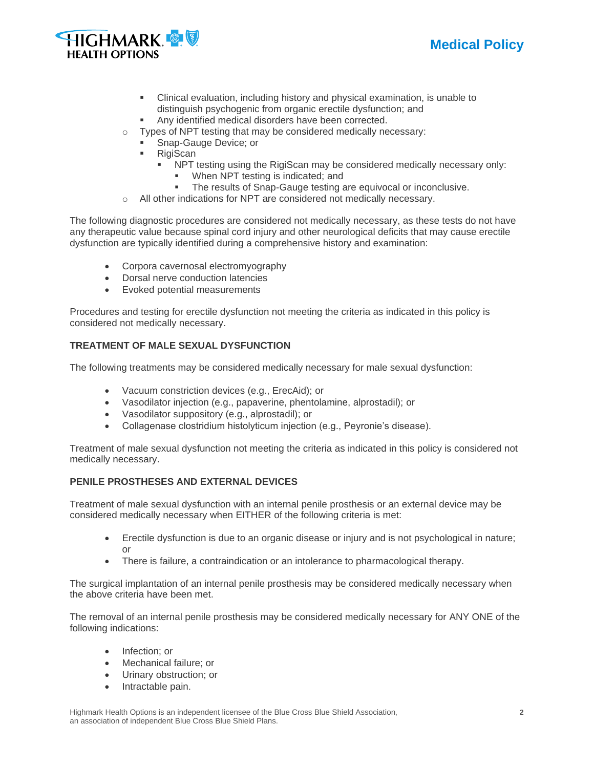



- Clinical evaluation, including history and physical examination, is unable to distinguish psychogenic from organic erectile dysfunction; and
- Any identified medical disorders have been corrected.
- o Types of NPT testing that may be considered medically necessary:
	- Snap-Gauge Device; or
	- **RigiScan** 
		- NPT testing using the RigiScan may be considered medically necessary only:
			- When NPT testing is indicated; and
			- The results of Snap-Gauge testing are equivocal or inconclusive.
- o All other indications for NPT are considered not medically necessary.

The following diagnostic procedures are considered not medically necessary, as these tests do not have any therapeutic value because spinal cord injury and other neurological deficits that may cause erectile dysfunction are typically identified during a comprehensive history and examination:

- Corpora cavernosal electromyography
- Dorsal nerve conduction latencies
- Evoked potential measurements

Procedures and testing for erectile dysfunction not meeting the criteria as indicated in this policy is considered not medically necessary.

## **TREATMENT OF MALE SEXUAL DYSFUNCTION**

The following treatments may be considered medically necessary for male sexual dysfunction:

- Vacuum constriction devices (e.g., ErecAid); or
- Vasodilator injection (e.g., papaverine, phentolamine, alprostadil); or
- Vasodilator suppository (e.g., alprostadil); or
- Collagenase clostridium histolyticum injection (e.g., Peyronie's disease).

Treatment of male sexual dysfunction not meeting the criteria as indicated in this policy is considered not medically necessary.

## **PENILE PROSTHESES AND EXTERNAL DEVICES**

Treatment of male sexual dysfunction with an internal penile prosthesis or an external device may be considered medically necessary when EITHER of the following criteria is met:

- Erectile dysfunction is due to an organic disease or injury and is not psychological in nature; or
- There is failure, a contraindication or an intolerance to pharmacological therapy.

The surgical implantation of an internal penile prosthesis may be considered medically necessary when the above criteria have been met.

The removal of an internal penile prosthesis may be considered medically necessary for ANY ONE of the following indications:

- Infection; or
- Mechanical failure; or
- Urinary obstruction; or
- Intractable pain.

Highmark Health Options is an independent licensee of the Blue Cross Blue Shield Association, **2** an association of independent Blue Cross Blue Shield Plans.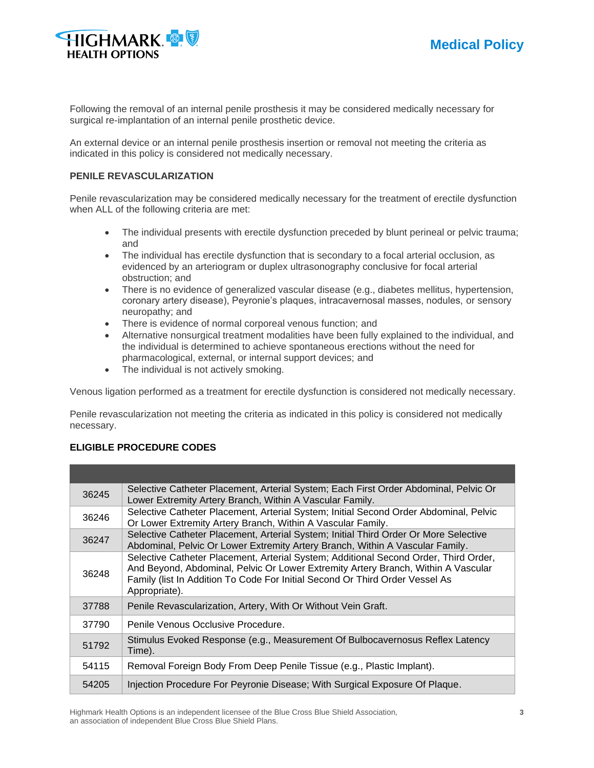



Following the removal of an internal penile prosthesis it may be considered medically necessary for surgical re-implantation of an internal penile prosthetic device.

An external device or an internal penile prosthesis insertion or removal not meeting the criteria as indicated in this policy is considered not medically necessary.

## **PENILE REVASCULARIZATION**

Penile revascularization may be considered medically necessary for the treatment of erectile dysfunction when ALL of the following criteria are met:

- The individual presents with erectile dysfunction preceded by blunt perineal or pelvic trauma; and
- The individual has erectile dysfunction that is secondary to a focal arterial occlusion, as evidenced by an arteriogram or duplex ultrasonography conclusive for focal arterial obstruction; and
- There is no evidence of generalized vascular disease (e.g., diabetes mellitus, hypertension, coronary artery disease), Peyronie's plaques, intracavernosal masses, nodules, or sensory neuropathy; and
- There is evidence of normal corporeal venous function; and
- Alternative nonsurgical treatment modalities have been fully explained to the individual, and the individual is determined to achieve spontaneous erections without the need for pharmacological, external, or internal support devices; and
- The individual is not actively smoking.

Venous ligation performed as a treatment for erectile dysfunction is considered not medically necessary.

Penile revascularization not meeting the criteria as indicated in this policy is considered not medically necessary.

## **ELIGIBLE PROCEDURE CODES**

| 36245 | Selective Catheter Placement, Arterial System; Each First Order Abdominal, Pelvic Or<br>Lower Extremity Artery Branch, Within A Vascular Family.                                                                                                                           |
|-------|----------------------------------------------------------------------------------------------------------------------------------------------------------------------------------------------------------------------------------------------------------------------------|
| 36246 | Selective Catheter Placement, Arterial System; Initial Second Order Abdominal, Pelvic<br>Or Lower Extremity Artery Branch, Within A Vascular Family.                                                                                                                       |
| 36247 | Selective Catheter Placement, Arterial System; Initial Third Order Or More Selective<br>Abdominal, Pelvic Or Lower Extremity Artery Branch, Within A Vascular Family.                                                                                                      |
| 36248 | Selective Catheter Placement, Arterial System; Additional Second Order, Third Order,<br>And Beyond, Abdominal, Pelvic Or Lower Extremity Artery Branch, Within A Vascular<br>Family (list In Addition To Code For Initial Second Or Third Order Vessel As<br>Appropriate). |
| 37788 | Penile Revascularization, Artery, With Or Without Vein Graft.                                                                                                                                                                                                              |
| 37790 | Penile Venous Occlusive Procedure.                                                                                                                                                                                                                                         |
| 51792 | Stimulus Evoked Response (e.g., Measurement Of Bulbocavernosus Reflex Latency<br>Time).                                                                                                                                                                                    |
| 54115 | Removal Foreign Body From Deep Penile Tissue (e.g., Plastic Implant).                                                                                                                                                                                                      |
| 54205 | Injection Procedure For Peyronie Disease; With Surgical Exposure Of Plaque.                                                                                                                                                                                                |

Highmark Health Options is an independent licensee of the Blue Cross Blue Shield Association, **3** an association of independent Blue Cross Blue Shield Plans.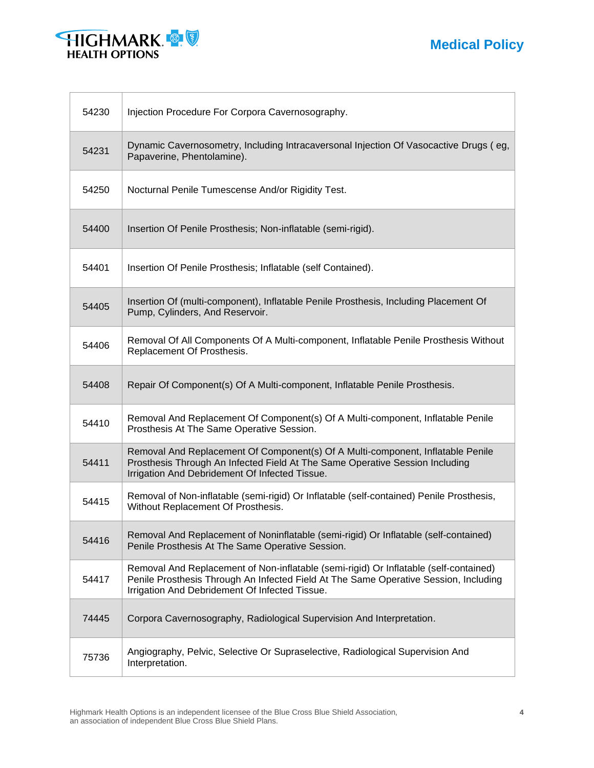



| 54230 | Injection Procedure For Corpora Cavernosography.                                                                                                                                                                                |
|-------|---------------------------------------------------------------------------------------------------------------------------------------------------------------------------------------------------------------------------------|
| 54231 | Dynamic Cavernosometry, Including Intracaversonal Injection Of Vasocactive Drugs (eg,<br>Papaverine, Phentolamine).                                                                                                             |
| 54250 | Nocturnal Penile Tumescense And/or Rigidity Test.                                                                                                                                                                               |
| 54400 | Insertion Of Penile Prosthesis; Non-inflatable (semi-rigid).                                                                                                                                                                    |
| 54401 | Insertion Of Penile Prosthesis; Inflatable (self Contained).                                                                                                                                                                    |
| 54405 | Insertion Of (multi-component), Inflatable Penile Prosthesis, Including Placement Of<br>Pump, Cylinders, And Reservoir.                                                                                                         |
| 54406 | Removal Of All Components Of A Multi-component, Inflatable Penile Prosthesis Without<br>Replacement Of Prosthesis.                                                                                                              |
| 54408 | Repair Of Component(s) Of A Multi-component, Inflatable Penile Prosthesis.                                                                                                                                                      |
| 54410 | Removal And Replacement Of Component(s) Of A Multi-component, Inflatable Penile<br>Prosthesis At The Same Operative Session.                                                                                                    |
| 54411 | Removal And Replacement Of Component(s) Of A Multi-component, Inflatable Penile<br>Prosthesis Through An Infected Field At The Same Operative Session Including<br>Irrigation And Debridement Of Infected Tissue.               |
| 54415 | Removal of Non-inflatable (semi-rigid) Or Inflatable (self-contained) Penile Prosthesis,<br>Without Replacement Of Prosthesis.                                                                                                  |
| 54416 | Removal And Replacement of Noninflatable (semi-rigid) Or Inflatable (self-contained)<br>Penile Prosthesis At The Same Operative Session.                                                                                        |
| 54417 | Removal And Replacement of Non-inflatable (semi-rigid) Or Inflatable (self-contained)<br>Penile Prosthesis Through An Infected Field At The Same Operative Session, Including<br>Irrigation And Debridement Of Infected Tissue. |
| 74445 | Corpora Cavernosography, Radiological Supervision And Interpretation.                                                                                                                                                           |
| 75736 | Angiography, Pelvic, Selective Or Supraselective, Radiological Supervision And<br>Interpretation.                                                                                                                               |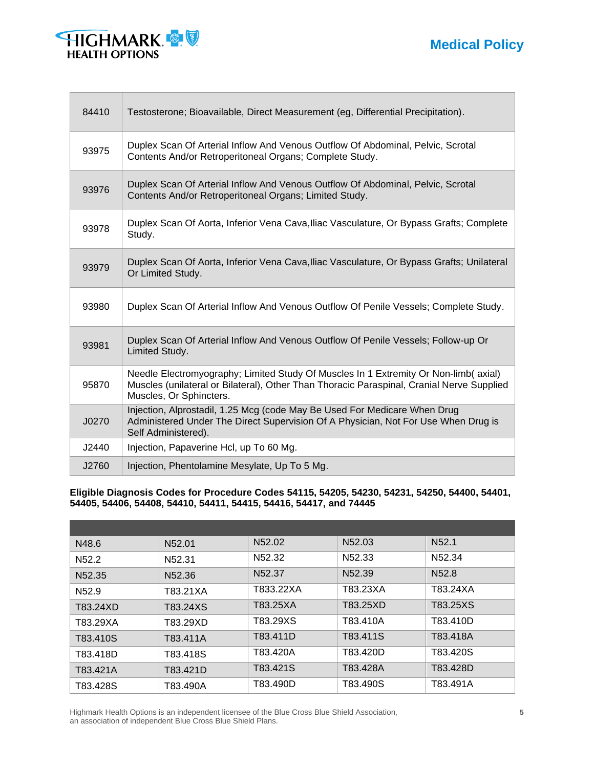**Medical Policy**



Е

| 84410 | Testosterone; Bioavailable, Direct Measurement (eg, Differential Precipitation).                                                                                                                            |
|-------|-------------------------------------------------------------------------------------------------------------------------------------------------------------------------------------------------------------|
| 93975 | Duplex Scan Of Arterial Inflow And Venous Outflow Of Abdominal, Pelvic, Scrotal<br>Contents And/or Retroperitoneal Organs; Complete Study.                                                                  |
| 93976 | Duplex Scan Of Arterial Inflow And Venous Outflow Of Abdominal, Pelvic, Scrotal<br>Contents And/or Retroperitoneal Organs; Limited Study.                                                                   |
| 93978 | Duplex Scan Of Aorta, Inferior Vena Cava, Iliac Vasculature, Or Bypass Grafts; Complete<br>Study.                                                                                                           |
| 93979 | Duplex Scan Of Aorta, Inferior Vena Cava, Iliac Vasculature, Or Bypass Grafts; Unilateral<br>Or Limited Study.                                                                                              |
| 93980 | Duplex Scan Of Arterial Inflow And Venous Outflow Of Penile Vessels; Complete Study.                                                                                                                        |
| 93981 | Duplex Scan Of Arterial Inflow And Venous Outflow Of Penile Vessels; Follow-up Or<br>Limited Study.                                                                                                         |
| 95870 | Needle Electromyography; Limited Study Of Muscles In 1 Extremity Or Non-limb(axial)<br>Muscles (unilateral or Bilateral), Other Than Thoracic Paraspinal, Cranial Nerve Supplied<br>Muscles, Or Sphincters. |
| J0270 | Injection, Alprostadil, 1.25 Mcg (code May Be Used For Medicare When Drug<br>Administered Under The Direct Supervision Of A Physician, Not For Use When Drug is<br>Self Administered).                      |
| J2440 | Injection, Papaverine Hcl, up To 60 Mg.                                                                                                                                                                     |
| J2760 | Injection, Phentolamine Mesylate, Up To 5 Mg.                                                                                                                                                               |

**Eligible Diagnosis Codes for Procedure Codes 54115, 54205, 54230, 54231, 54250, 54400, 54401, 54405, 54406, 54408, 54410, 54411, 54415, 54416, 54417, and 74445**

| N48.6              | N52.01             | N52.02             | N <sub>52.03</sub> | N <sub>52.1</sub>  |
|--------------------|--------------------|--------------------|--------------------|--------------------|
| N <sub>52.2</sub>  | N <sub>52.31</sub> | N <sub>52.32</sub> | N52.33             | N <sub>52.34</sub> |
| N <sub>52.35</sub> | N <sub>52.36</sub> | N <sub>52.37</sub> | N <sub>52.39</sub> | N <sub>52.8</sub>  |
| N <sub>52.9</sub>  | T83.21XA           | T833.22XA          | T83.23XA           | T83.24XA           |
| T83.24XD           | T83.24XS           | T83.25XA           | T83.25XD           | T83.25XS           |
| T83.29XA           | T83.29XD           | T83.29XS           | T83.410A           | T83.410D           |
| T83.410S           | T83.411A           | T83.411D           | T83.411S           | T83.418A           |
| T83.418D           | T83.418S           | T83.420A           | T83.420D           | T83.420S           |
| T83.421A           | T83.421D           | T83.421S           | T83.428A           | T83.428D           |
| T83.428S           | T83.490A           | T83.490D           | T83.490S           | T83.491A           |

Highmark Health Options is an independent licensee of the Blue Cross Blue Shield Association, **5** an association of independent Blue Cross Blue Shield Plans.